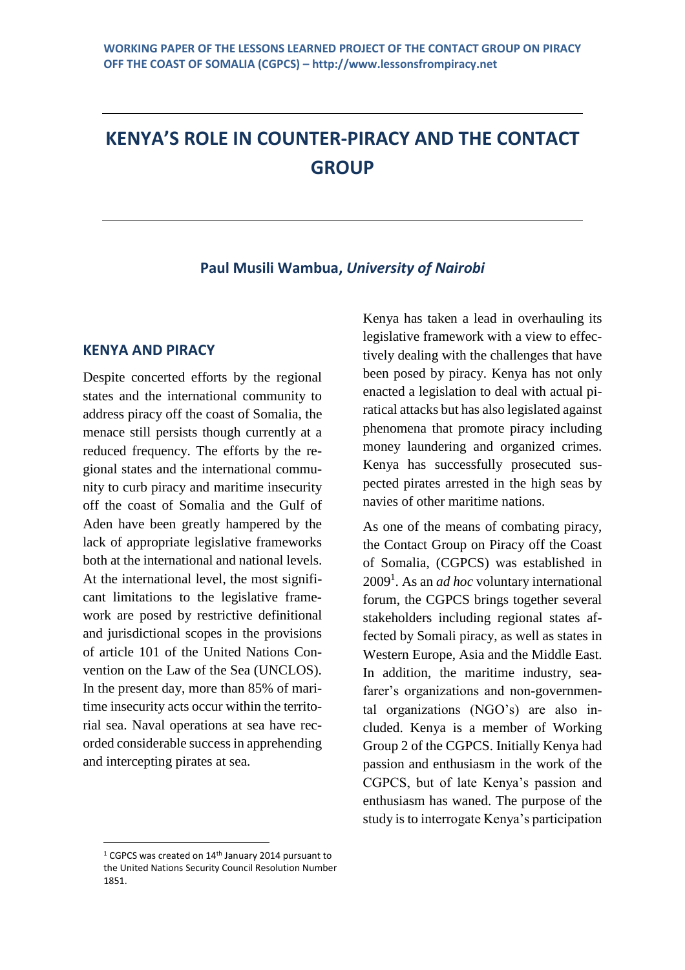# **KENYA'S ROLE IN COUNTER-PIRACY AND THE CONTACT GROUP**

#### **Paul Musili Wambua,** *University of Nairobi*

#### **KENYA AND PIRACY**

Despite concerted efforts by the regional states and the international community to address piracy off the coast of Somalia, the menace still persists though currently at a reduced frequency. The efforts by the regional states and the international community to curb piracy and maritime insecurity off the coast of Somalia and the Gulf of Aden have been greatly hampered by the lack of appropriate legislative frameworks both at the international and national levels. At the international level, the most significant limitations to the legislative framework are posed by restrictive definitional and jurisdictional scopes in the provisions of article 101 of the United Nations Convention on the Law of the Sea (UNCLOS). In the present day, more than 85% of maritime insecurity acts occur within the territorial sea. Naval operations at sea have recorded considerable success in apprehending and intercepting pirates at sea.

Kenya has taken a lead in overhauling its legislative framework with a view to effectively dealing with the challenges that have been posed by piracy. Kenya has not only enacted a legislation to deal with actual piratical attacks but has also legislated against phenomena that promote piracy including money laundering and organized crimes. Kenya has successfully prosecuted suspected pirates arrested in the high seas by navies of other maritime nations.

As one of the means of combating piracy, the Contact Group on Piracy off the Coast of Somalia, (CGPCS) was established in 2009<sup>1</sup> . As an *ad hoc* voluntary international forum, the CGPCS brings together several stakeholders including regional states affected by Somali piracy, as well as states in Western Europe, Asia and the Middle East. In addition, the maritime industry, seafarer's organizations and non-governmental organizations (NGO's) are also included. Kenya is a member of Working Group 2 of the CGPCS. Initially Kenya had passion and enthusiasm in the work of the CGPCS, but of late Kenya's passion and enthusiasm has waned. The purpose of the study is to interrogate Kenya's participation

<sup>&</sup>lt;sup>1</sup> CGPCS was created on 14<sup>th</sup> January 2014 pursuant to the United Nations Security Council Resolution Number 1851.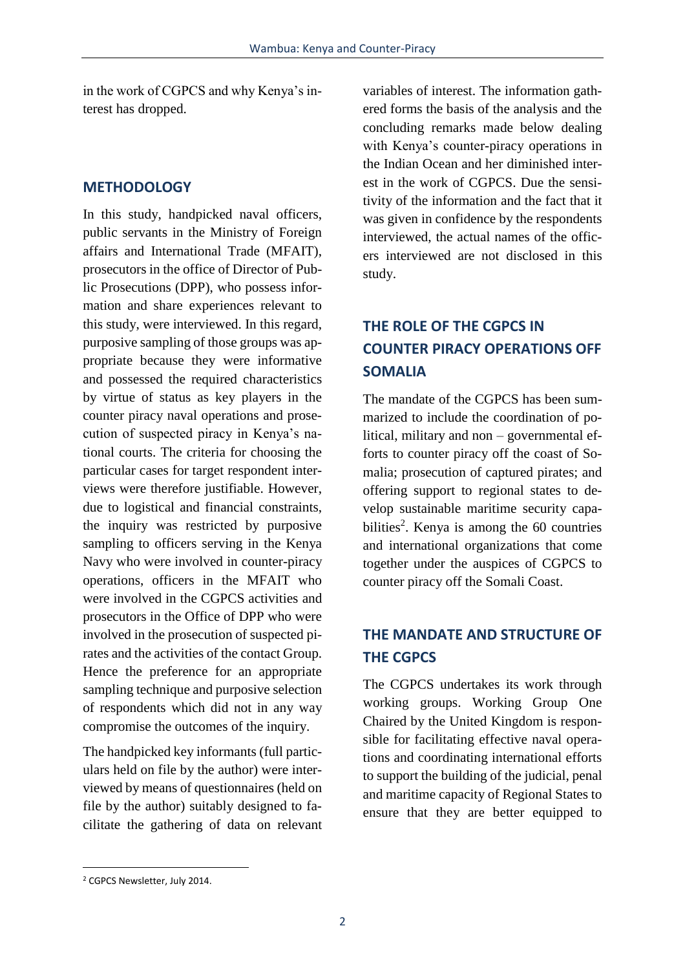in the work of CGPCS and why Kenya's interest has dropped.

#### **METHODOLOGY**

In this study, handpicked naval officers, public servants in the Ministry of Foreign affairs and International Trade (MFAIT), prosecutors in the office of Director of Public Prosecutions (DPP), who possess information and share experiences relevant to this study, were interviewed. In this regard, purposive sampling of those groups was appropriate because they were informative and possessed the required characteristics by virtue of status as key players in the counter piracy naval operations and prosecution of suspected piracy in Kenya's national courts. The criteria for choosing the particular cases for target respondent interviews were therefore justifiable. However, due to logistical and financial constraints, the inquiry was restricted by purposive sampling to officers serving in the Kenya Navy who were involved in counter-piracy operations, officers in the MFAIT who were involved in the CGPCS activities and prosecutors in the Office of DPP who were involved in the prosecution of suspected pirates and the activities of the contact Group. Hence the preference for an appropriate sampling technique and purposive selection of respondents which did not in any way compromise the outcomes of the inquiry.

The handpicked key informants (full particulars held on file by the author) were interviewed by means of questionnaires (held on file by the author) suitably designed to facilitate the gathering of data on relevant variables of interest. The information gathered forms the basis of the analysis and the concluding remarks made below dealing with Kenya's counter-piracy operations in the Indian Ocean and her diminished interest in the work of CGPCS. Due the sensitivity of the information and the fact that it was given in confidence by the respondents interviewed, the actual names of the officers interviewed are not disclosed in this study.

# **THE ROLE OF THE CGPCS IN COUNTER PIRACY OPERATIONS OFF SOMALIA**

The mandate of the CGPCS has been summarized to include the coordination of political, military and non – governmental efforts to counter piracy off the coast of Somalia; prosecution of captured pirates; and offering support to regional states to develop sustainable maritime security capabilities<sup>2</sup>. Kenya is among the  $60$  countries and international organizations that come together under the auspices of CGPCS to counter piracy off the Somali Coast.

# **THE MANDATE AND STRUCTURE OF THE CGPCS**

The CGPCS undertakes its work through working groups. Working Group One Chaired by the United Kingdom is responsible for facilitating effective naval operations and coordinating international efforts to support the building of the judicial, penal and maritime capacity of Regional States to ensure that they are better equipped to

<sup>2</sup> CGPCS Newsletter, July 2014.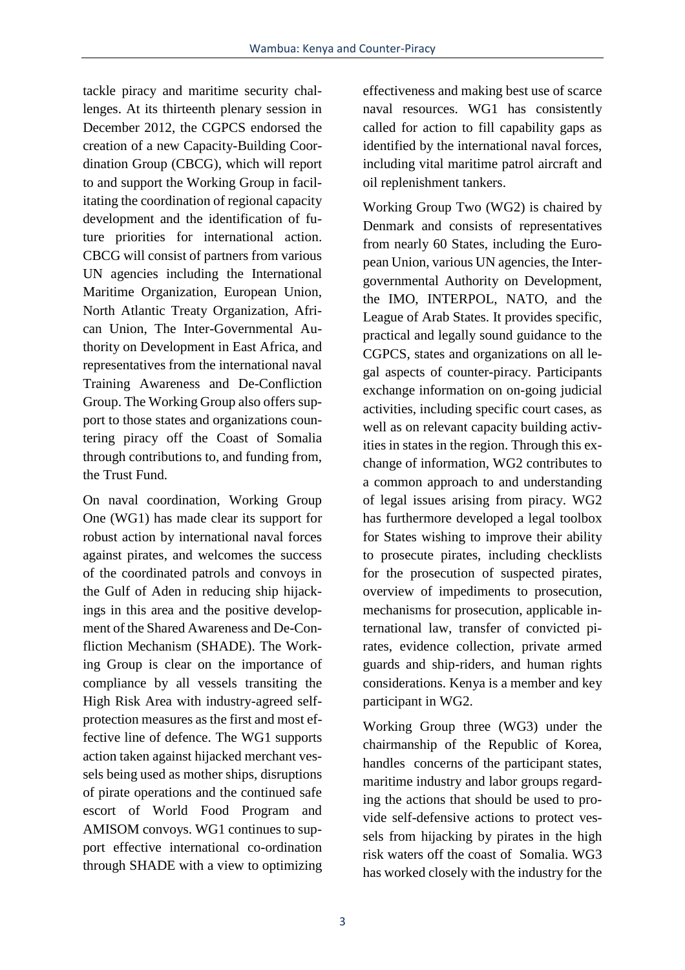tackle piracy and maritime security challenges. At its thirteenth plenary session in December 2012, the CGPCS endorsed the creation of a new Capacity-Building Coordination Group (CBCG), which will report to and support the Working Group in facilitating the coordination of regional capacity development and the identification of future priorities for international action. CBCG will consist of partners from various UN agencies including the International Maritime Organization, European Union, North Atlantic Treaty Organization, African Union, The Inter-Governmental Authority on Development in East Africa, and representatives from the international naval Training Awareness and De-Confliction Group. The Working Group also offers support to those states and organizations countering piracy off the Coast of Somalia through contributions to, and funding from, the Trust Fund.

On naval coordination, Working Group One (WG1) has made clear its support for robust action by international naval forces against pirates, and welcomes the success of the coordinated patrols and convoys in the Gulf of Aden in reducing ship hijackings in this area and the positive development of the Shared Awareness and De-Confliction Mechanism (SHADE). The Working Group is clear on the importance of compliance by all vessels transiting the High Risk Area with industry-agreed selfprotection measures as the first and most effective line of defence. The WG1 supports action taken against hijacked merchant vessels being used as mother ships, disruptions of pirate operations and the continued safe escort of World Food Program and AMISOM convoys. WG1 continues to support effective international co-ordination through SHADE with a view to optimizing effectiveness and making best use of scarce naval resources. WG1 has consistently called for action to fill capability gaps as identified by the international naval forces, including vital maritime patrol aircraft and oil replenishment tankers.

Working Group Two (WG2) is chaired by Denmark and consists of representatives from nearly 60 States, including the European Union, various UN agencies, the Intergovernmental Authority on Development, the IMO, INTERPOL, NATO, and the League of Arab States. It provides specific, practical and legally sound guidance to the CGPCS, states and organizations on all legal aspects of counter-piracy. Participants exchange information on on-going judicial activities, including specific court cases, as well as on relevant capacity building activities in states in the region. Through this exchange of information, WG2 contributes to a common approach to and understanding of legal issues arising from piracy. WG2 has furthermore developed a legal toolbox for States wishing to improve their ability to prosecute pirates, including checklists for the prosecution of suspected pirates, overview of impediments to prosecution, mechanisms for prosecution, applicable international law, transfer of convicted pirates, evidence collection, private armed guards and ship-riders, and human rights considerations. Kenya is a member and key participant in WG2.

Working Group three (WG3) under the chairmanship of the Republic of Korea, handles concerns of the participant states, maritime industry and labor groups regarding the actions that should be used to provide self-defensive actions to protect vessels from hijacking by pirates in the high risk waters off the coast of Somalia. WG3 has worked closely with the industry for the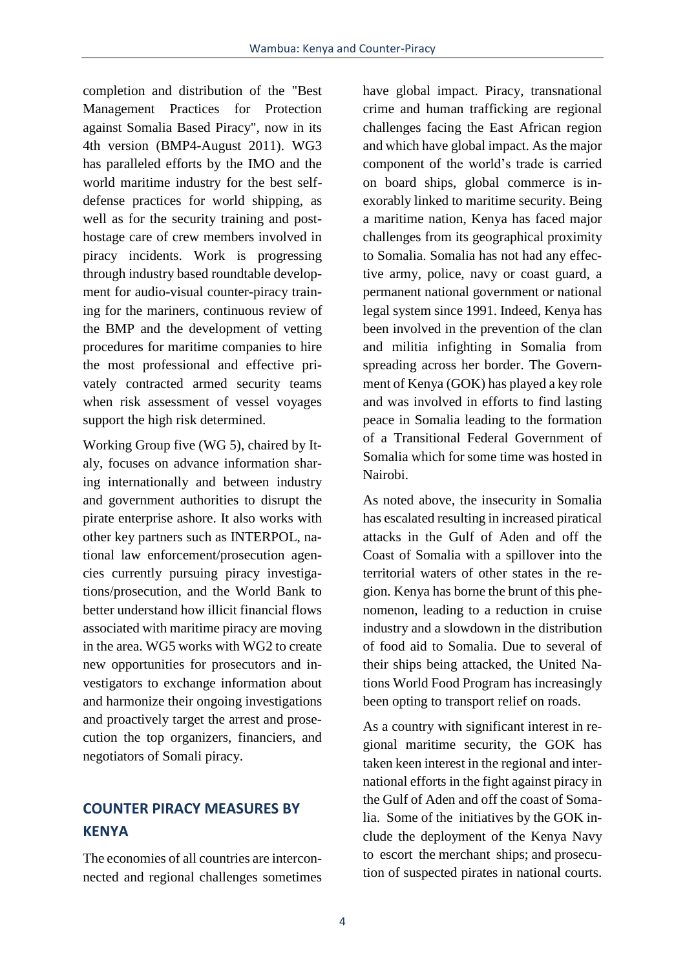completion and distribution of the "Best Management Practices for Protection against Somalia Based Piracy", now in its 4th version (BMP4-August 2011). WG3 has paralleled efforts by the IMO and the world maritime industry for the best selfdefense practices for world shipping, as well as for the security training and posthostage care of crew members involved in piracy incidents. Work is progressing through industry based roundtable development for audio-visual counter-piracy training for the mariners, continuous review of the BMP and the development of vetting procedures for maritime companies to hire the most professional and effective privately contracted armed security teams when risk assessment of vessel voyages support the high risk determined.

Working Group five (WG 5), chaired by Italy, focuses on advance information sharing internationally and between industry and government authorities to disrupt the pirate enterprise ashore. It also works with other key partners such as INTERPOL, national law enforcement/prosecution agencies currently pursuing piracy investigations/prosecution, and the World Bank to better understand how illicit financial flows associated with maritime piracy are moving in the area. WG5 works with WG2 to create new opportunities for prosecutors and investigators to exchange information about and harmonize their ongoing investigations and proactively target the arrest and prosecution the top organizers, financiers, and negotiators of Somali piracy.

### **COUNTER PIRACY MEASURES BY KENYA**

The economies of all countries are interconnected and regional challenges sometimes have global impact. Piracy, transnational crime and human trafficking are regional challenges facing the East African region and which have global impact. As the major component of the world's trade is carried on board ships, global commerce is inexorably linked to maritime security. Being a maritime nation, Kenya has faced major challenges from its geographical proximity to Somalia. Somalia has not had any effective army, police, navy or coast guard, a permanent national government or national legal system since 1991. Indeed, Kenya has been involved in the prevention of the clan and militia infighting in Somalia from spreading across her border. The Government of Kenya (GOK) has played a key role and was involved in efforts to find lasting peace in Somalia leading to the formation of a Transitional Federal Government of Somalia which for some time was hosted in Nairobi.

As noted above, the insecurity in Somalia has escalated resulting in increased piratical attacks in the Gulf of Aden and off the Coast of Somalia with a spillover into the territorial waters of other states in the region. Kenya has borne the brunt of this phenomenon, leading to a reduction in cruise industry and a slowdown in the distribution of food aid to Somalia. Due to several of their ships being attacked, the United Nations World Food Program has increasingly been opting to transport relief on roads.

As a country with significant interest in regional maritime security, the GOK has taken keen interest in the regional and international efforts in the fight against piracy in the Gulf of Aden and off the coast of Somalia. Some of the initiatives by the GOK include the deployment of the Kenya Navy to escort the merchant ships; and prosecution of suspected pirates in national courts.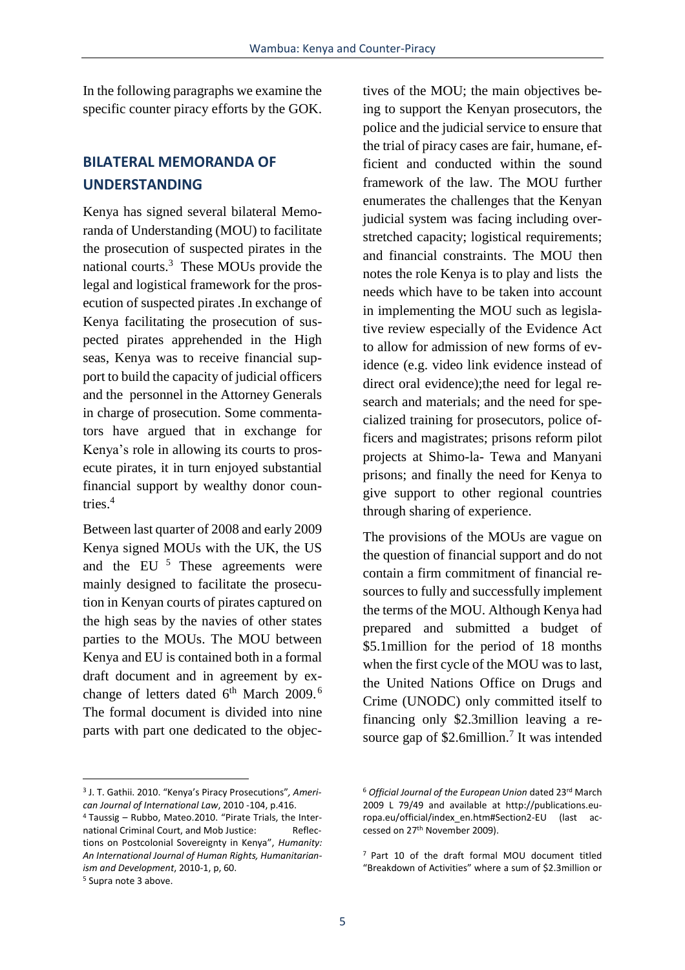In the following paragraphs we examine the specific counter piracy efforts by the GOK.

### **BILATERAL MEMORANDA OF UNDERSTANDING**

Kenya has signed several bilateral Memoranda of Understanding (MOU) to facilitate the prosecution of suspected pirates in the national courts.<sup>3</sup> These MOUs provide the legal and logistical framework for the prosecution of suspected pirates .In exchange of Kenya facilitating the prosecution of suspected pirates apprehended in the High seas, Kenya was to receive financial support to build the capacity of judicial officers and the personnel in the Attorney Generals in charge of prosecution. Some commentators have argued that in exchange for Kenya's role in allowing its courts to prosecute pirates, it in turn enjoyed substantial financial support by wealthy donor countries.<sup>4</sup>

Between last quarter of 2008 and early 2009 Kenya signed MOUs with the UK, the US and the EU<sup>5</sup> These agreements were mainly designed to facilitate the prosecution in Kenyan courts of pirates captured on the high seas by the navies of other states parties to the MOUs. The MOU between Kenya and EU is contained both in a formal draft document and in agreement by exchange of letters dated  $6<sup>th</sup>$  March 2009.<sup>6</sup> The formal document is divided into nine parts with part one dedicated to the objec-

3 J. T. Gathii. 2010. "Kenya's Piracy Prosecutions"*, American Journal of International Law*, 2010 -104, p.416.

<sup>5</sup> Supra note 3 above.

 $\overline{a}$ 

tives of the MOU; the main objectives being to support the Kenyan prosecutors, the police and the judicial service to ensure that the trial of piracy cases are fair, humane, efficient and conducted within the sound framework of the law. The MOU further enumerates the challenges that the Kenyan judicial system was facing including overstretched capacity; logistical requirements; and financial constraints. The MOU then notes the role Kenya is to play and lists the needs which have to be taken into account in implementing the MOU such as legislative review especially of the Evidence Act to allow for admission of new forms of evidence (e.g. video link evidence instead of direct oral evidence);the need for legal research and materials; and the need for specialized training for prosecutors, police officers and magistrates; prisons reform pilot projects at Shimo-la- Tewa and Manyani prisons; and finally the need for Kenya to give support to other regional countries through sharing of experience.

The provisions of the MOUs are vague on the question of financial support and do not contain a firm commitment of financial resources to fully and successfully implement the terms of the MOU. Although Kenya had prepared and submitted a budget of \$5.1million for the period of 18 months when the first cycle of the MOU was to last, the United Nations Office on Drugs and Crime (UNODC) only committed itself to financing only \$2.3million leaving a resource gap of \$2.6million.<sup>7</sup> It was intended

<sup>4</sup> Taussig – Rubbo, Mateo.2010. "Pirate Trials, the International Criminal Court, and Mob Justice: Reflections on Postcolonial Sovereignty in Kenya", *Humanity: An International Journal of Human Rights, Humanitarianism and Development*, 2010-1, p, 60.

<sup>6</sup> *Official Journal of the European Union* dated 23rd March 2009 L 79/49 and available at http://publications.europa.eu/official/index\_en.htm#Section2-EU (last accessed on 27th November 2009).

<sup>7</sup> Part 10 of the draft formal MOU document titled "Breakdown of Activities" where a sum of \$2.3million or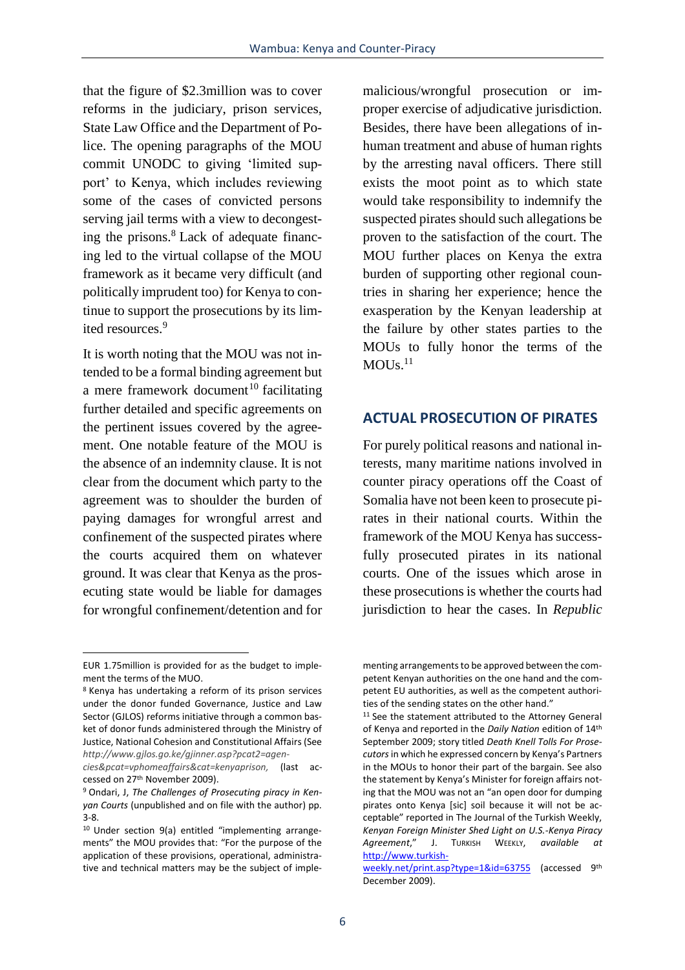that the figure of \$2.3million was to cover reforms in the judiciary, prison services, State Law Office and the Department of Police. The opening paragraphs of the MOU commit UNODC to giving 'limited support' to Kenya, which includes reviewing some of the cases of convicted persons serving jail terms with a view to decongesting the prisons.<sup>8</sup> Lack of adequate financing led to the virtual collapse of the MOU framework as it became very difficult (and politically imprudent too) for Kenya to continue to support the prosecutions by its limited resources.<sup>9</sup>

It is worth noting that the MOU was not intended to be a formal binding agreement but a mere framework document<sup>10</sup> facilitating further detailed and specific agreements on the pertinent issues covered by the agreement. One notable feature of the MOU is the absence of an indemnity clause. It is not clear from the document which party to the agreement was to shoulder the burden of paying damages for wrongful arrest and confinement of the suspected pirates where the courts acquired them on whatever ground. It was clear that Kenya as the prosecuting state would be liable for damages for wrongful confinement/detention and for

 $\overline{a}$ 

malicious/wrongful prosecution or improper exercise of adjudicative jurisdiction. Besides, there have been allegations of inhuman treatment and abuse of human rights by the arresting naval officers. There still exists the moot point as to which state would take responsibility to indemnify the suspected pirates should such allegations be proven to the satisfaction of the court. The MOU further places on Kenya the extra burden of supporting other regional countries in sharing her experience; hence the exasperation by the Kenyan leadership at the failure by other states parties to the MOUs to fully honor the terms of the  $MOUS.^{11}$ 

#### **ACTUAL PROSECUTION OF PIRATES**

For purely political reasons and national interests, many maritime nations involved in counter piracy operations off the Coast of Somalia have not been keen to prosecute pirates in their national courts. Within the framework of the MOU Kenya has successfully prosecuted pirates in its national courts. One of the issues which arose in these prosecutions is whether the courts had jurisdiction to hear the cases. In *Republic* 

EUR 1.75million is provided for as the budget to implement the terms of the MUO.

<sup>8</sup> Kenya has undertaking a reform of its prison services under the donor funded Governance, Justice and Law Sector (GJLOS) reforms initiative through a common basket of donor funds administered through the Ministry of Justice, National Cohesion and Constitutional Affairs (See *http://www.gjlos.go.ke/gjinner.asp?pcat2=agen-*

*cies&pcat=vphomeaffairs&cat=kenyaprison,* (last accessed on 27th November 2009).

<sup>9</sup> Ondari, J, *The Challenges of Prosecuting piracy in Kenyan Courts* (unpublished and on file with the author) pp. 3-8.

<sup>10</sup> Under section 9(a) entitled "implementing arrangements" the MOU provides that: "For the purpose of the application of these provisions, operational, administrative and technical matters may be the subject of imple-

menting arrangements to be approved between the competent Kenyan authorities on the one hand and the competent EU authorities, as well as the competent authorities of the sending states on the other hand."

<sup>&</sup>lt;sup>11</sup> See the statement attributed to the Attorney General of Kenya and reported in the *Daily Nation* edition of 14th September 2009; story titled *Death Knell Tolls For Prosecutors*in which he expressed concern by Kenya's Partners in the MOUs to honor their part of the bargain. See also the statement by Kenya's Minister for foreign affairs noting that the MOU was not an "an open door for dumping pirates onto Kenya [sic] soil because it will not be acceptable" reported in The Journal of the Turkish Weekly, *Kenyan Foreign Minister Shed Light on U.S.-Kenya Piracy Agreement*," J. TURKISH WEEKLY, *available at* [http://www.turkish-](http://www.turkishweekly.net/print.asp?type=1&id=63755)

[weekly.net/print.asp?type=1&id=63755](http://www.turkishweekly.net/print.asp?type=1&id=63755) (accessed 9<sup>th</sup> December 2009).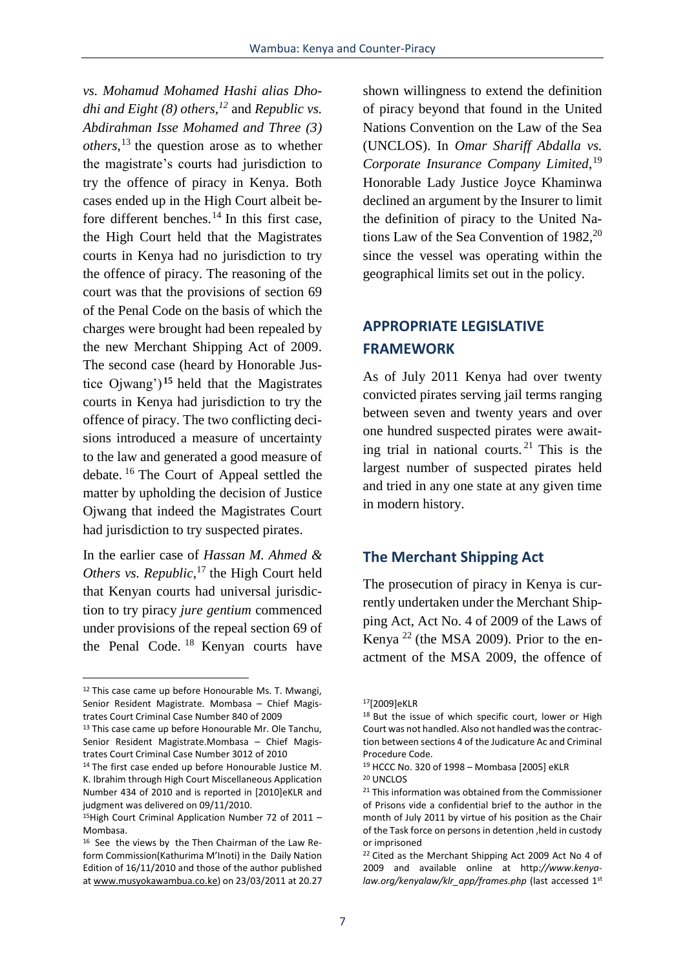*vs. Mohamud Mohamed Hashi alias Dhodhi and Eight (8) others,<sup>12</sup>* and *Republic vs. Abdirahman Isse Mohamed and Three (3) others*, <sup>13</sup> the question arose as to whether the magistrate's courts had jurisdiction to try the offence of piracy in Kenya. Both cases ended up in the High Court albeit before different benches.<sup>14</sup> In this first case, the High Court held that the Magistrates courts in Kenya had no jurisdiction to try the offence of piracy. The reasoning of the court was that the provisions of section 69 of the Penal Code on the basis of which the charges were brought had been repealed by the new Merchant Shipping Act of 2009. The second case (heard by Honorable Justice Ojwang') **<sup>15</sup>** held that the Magistrates courts in Kenya had jurisdiction to try the offence of piracy. The two conflicting decisions introduced a measure of uncertainty to the law and generated a good measure of debate. <sup>16</sup> The Court of Appeal settled the matter by upholding the decision of Justice Ojwang that indeed the Magistrates Court had jurisdiction to try suspected pirates.

In the earlier case of *Hassan M. Ahmed & Others vs. Republic*, <sup>17</sup> the High Court held that Kenyan courts had universal jurisdiction to try piracy *jure gentium* commenced under provisions of the repeal section 69 of the Penal Code. <sup>18</sup> Kenyan courts have

 $\overline{a}$ 

shown willingness to extend the definition of piracy beyond that found in the United Nations Convention on the Law of the Sea (UNCLOS). In *Omar Shariff Abdalla vs. Corporate Insurance Company Limited*, 19 Honorable Lady Justice Joyce Khaminwa declined an argument by the Insurer to limit the definition of piracy to the United Nations Law of the Sea Convention of  $1982$ <sup>20</sup> since the vessel was operating within the geographical limits set out in the policy.

## **APPROPRIATE LEGISLATIVE FRAMEWORK**

As of July 2011 Kenya had over twenty convicted pirates serving jail terms ranging between seven and twenty years and over one hundred suspected pirates were awaiting trial in national courts. <sup>21</sup> This is the largest number of suspected pirates held and tried in any one state at any given time in modern history.

#### **The Merchant Shipping Act**

The prosecution of piracy in Kenya is currently undertaken under the Merchant Shipping Act, Act No. 4 of 2009 of the Laws of Kenya  $^{22}$  (the MSA 2009). Prior to the enactment of the MSA 2009, the offence of

<sup>&</sup>lt;sup>12</sup> This case came up before Honourable Ms. T. Mwangi, Senior Resident Magistrate. Mombasa – Chief Magistrates Court Criminal Case Number 840 of 2009

<sup>&</sup>lt;sup>13</sup> This case came up before Honourable Mr. Ole Tanchu, Senior Resident Magistrate.Mombasa – Chief Magistrates Court Criminal Case Number 3012 of 2010

<sup>&</sup>lt;sup>14</sup> The first case ended up before Honourable Justice M. K. Ibrahim through High Court Miscellaneous Application Number 434 of 2010 and is reported in [2010]eKLR and judgment was delivered on 09/11/2010.

<sup>&</sup>lt;sup>15</sup>High Court Criminal Application Number 72 of 2011 – Mombasa.

<sup>16</sup> See the views by the Then Chairman of the Law Reform Commission(Kathurima M'Inoti) in the Daily Nation Edition of 16/11/2010 and those of the author published at www.musyokawambua.co.ke) on 23/03/2011 at 20.27

<sup>17</sup>[2009]eKLR

<sup>&</sup>lt;sup>18</sup> But the issue of which specific court, lower or High Court was not handled. Also not handled was the contraction between sections 4 of the Judicature Ac and Criminal Procedure Code.

<sup>19</sup> HCCC No. 320 of 1998 – Mombasa [2005] eKLR <sup>20</sup> UNCLOS

<sup>&</sup>lt;sup>21</sup> This information was obtained from the Commissioner of Prisons vide a confidential brief to the author in the month of July 2011 by virtue of his position as the Chair of the Task force on persons in detention ,held in custody or imprisoned

<sup>22</sup> Cited as the Merchant Shipping Act 2009 Act No 4 of 2009 and available online at http*://www.kenyalaw.org/kenyalaw/klr\_app/frames.php* (last accessed 1st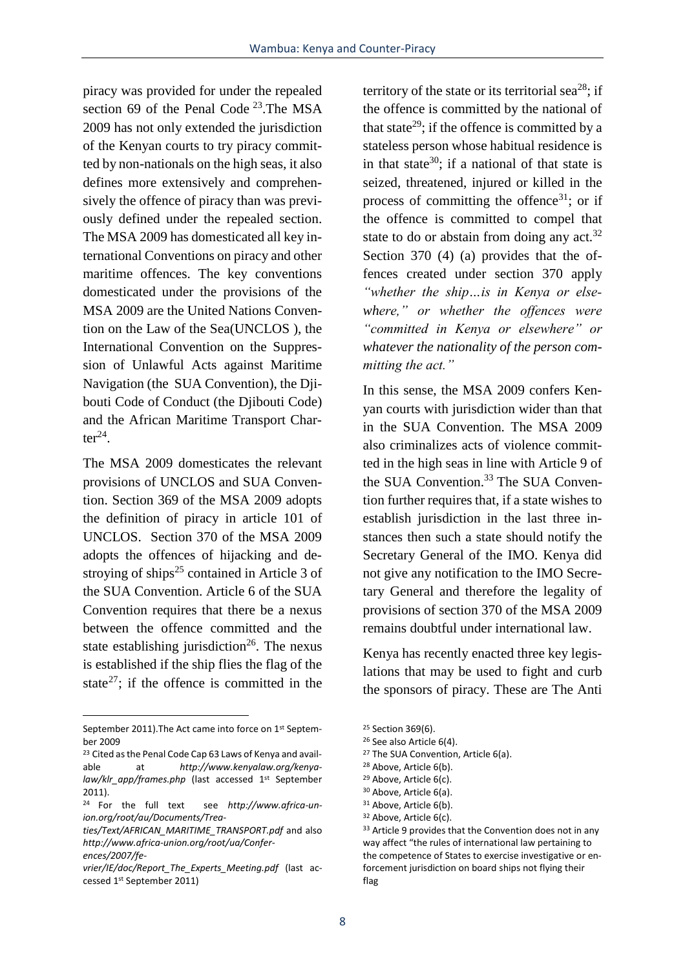piracy was provided for under the repealed section 69 of the Penal Code  $^{23}$ . The MSA 2009 has not only extended the jurisdiction of the Kenyan courts to try piracy committed by non-nationals on the high seas, it also defines more extensively and comprehensively the offence of piracy than was previously defined under the repealed section. The MSA 2009 has domesticated all key international Conventions on piracy and other maritime offences. The key conventions domesticated under the provisions of the MSA 2009 are the United Nations Convention on the Law of the Sea(UNCLOS ), the International Convention on the Suppression of Unlawful Acts against Maritime Navigation (the SUA Convention), the Djibouti Code of Conduct (the Djibouti Code) and the African Maritime Transport Char $ter^{24}$ .

The MSA 2009 domesticates the relevant provisions of UNCLOS and SUA Convention. Section 369 of the MSA 2009 adopts the definition of piracy in article 101 of UNCLOS. Section 370 of the MSA 2009 adopts the offences of hijacking and destroying of ships<sup>25</sup> contained in Article 3 of the SUA Convention. Article 6 of the SUA Convention requires that there be a nexus between the offence committed and the state establishing jurisdiction<sup>26</sup>. The nexus is established if the ship flies the flag of the state<sup>27</sup>; if the offence is committed in the

 $\overline{a}$ 

territory of the state or its territorial sea<sup>28</sup>; if the offence is committed by the national of that state<sup>29</sup>; if the offence is committed by a stateless person whose habitual residence is in that state<sup>30</sup>; if a national of that state is seized, threatened, injured or killed in the process of committing the offence<sup>31</sup>; or if the offence is committed to compel that state to do or abstain from doing any  $act.^{32}$ . Section 370 (4) (a) provides that the offences created under section 370 apply *"whether the ship…is in Kenya or elsewhere," or whether the offences were "committed in Kenya or elsewhere" or whatever the nationality of the person committing the act."* 

In this sense, the MSA 2009 confers Kenyan courts with jurisdiction wider than that in the SUA Convention. The MSA 2009 also criminalizes acts of violence committed in the high seas in line with Article 9 of the SUA Convention.<sup>33</sup> The SUA Convention further requires that, if a state wishes to establish jurisdiction in the last three instances then such a state should notify the Secretary General of the IMO. Kenya did not give any notification to the IMO Secretary General and therefore the legality of provisions of section 370 of the MSA 2009 remains doubtful under international law.

Kenya has recently enacted three key legislations that may be used to fight and curb the sponsors of piracy. These are The Anti

September 2011). The Act came into force on 1st September 2009

<sup>&</sup>lt;sup>23</sup> Cited as the Penal Code Cap 63 Laws of Kenya and available at *http://www.kenyalaw.org/kenyalaw/klr\_app/frames.php* (last accessed 1st September 2011).

<sup>24</sup> For the full text see *http://www.africa-union.org/root/au/Documents/Trea-*

*ties/Text/AFRICAN\_MARITIME\_TRANSPORT.pdf* and also *http://www.africa-union.org/root/ua/Conferences/2007/fe-*

*vrier/IE/doc/Report\_The\_Experts\_Meeting.pdf* (last accessed 1st September 2011)

<sup>&</sup>lt;sup>25</sup> Section 369(6).

<sup>&</sup>lt;sup>26</sup> See also Article 6(4).

<sup>&</sup>lt;sup>27</sup> The SUA Convention, Article 6(a).

<sup>28</sup> Above, Article 6(b).

<sup>29</sup> Above, Article 6(c).

<sup>30</sup> Above, Article 6(a).

<sup>&</sup>lt;sup>31</sup> Above, Article 6(b). <sup>32</sup> Above, Article 6(c).

<sup>33</sup> Article 9 provides that the Convention does not in any

way affect "the rules of international law pertaining to the competence of States to exercise investigative or enforcement jurisdiction on board ships not flying their flag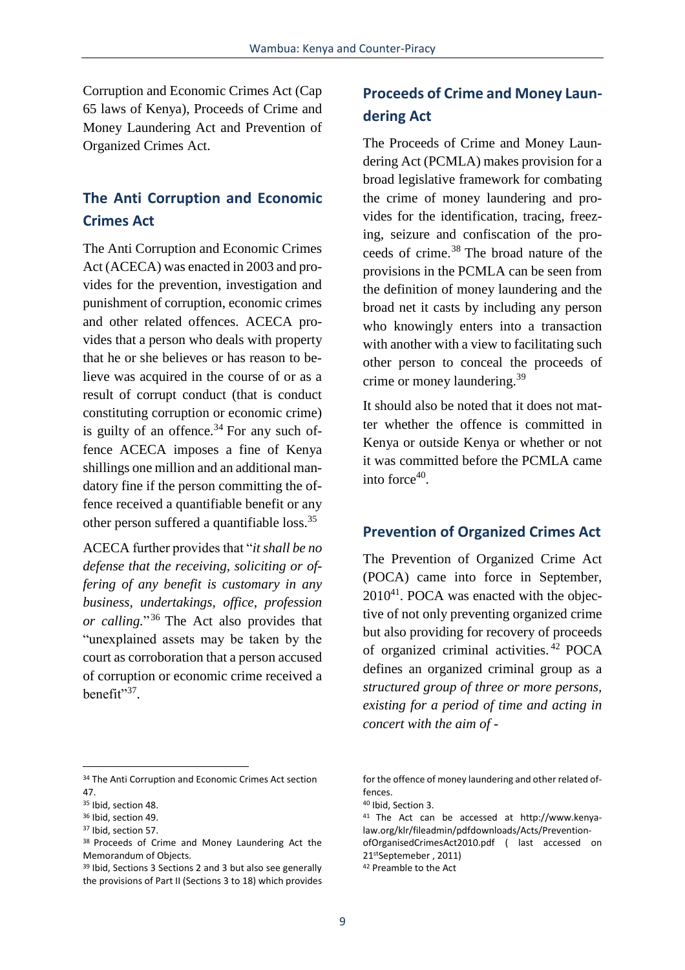Corruption and Economic Crimes Act (Cap 65 laws of Kenya), Proceeds of Crime and Money Laundering Act and Prevention of Organized Crimes Act.

### **The Anti Corruption and Economic Crimes Act**

The Anti Corruption and Economic Crimes Act (ACECA) was enacted in 2003 and provides for the prevention, investigation and punishment of corruption, economic crimes and other related offences. ACECA provides that a person who deals with property that he or she believes or has reason to believe was acquired in the course of or as a result of corrupt conduct (that is conduct constituting corruption or economic crime) is guilty of an offence. $34$  For any such offence ACECA imposes a fine of Kenya shillings one million and an additional mandatory fine if the person committing the offence received a quantifiable benefit or any other person suffered a quantifiable loss.<sup>35</sup>

ACECA further provides that "*it shall be no defense that the receiving, soliciting or offering of any benefit is customary in any business, undertakings, office, profession or calling.*" <sup>36</sup> The Act also provides that "unexplained assets may be taken by the court as corroboration that a person accused of corruption or economic crime received a benefit"<sup>37</sup>.

# **Proceeds of Crime and Money Laundering Act**

The Proceeds of Crime and Money Laundering Act (PCMLA) makes provision for a broad legislative framework for combating the crime of money laundering and provides for the identification, tracing, freezing, seizure and confiscation of the proceeds of crime.<sup>38</sup> The broad nature of the provisions in the PCMLA can be seen from the definition of money laundering and the broad net it casts by including any person who knowingly enters into a transaction with another with a view to facilitating such other person to conceal the proceeds of crime or money laundering.<sup>39</sup>

It should also be noted that it does not matter whether the offence is committed in Kenya or outside Kenya or whether or not it was committed before the PCMLA came into force $40$ .

### **Prevention of Organized Crimes Act**

The Prevention of Organized Crime Act (POCA) came into force in September,  $2010^{41}$ . POCA was enacted with the objective of not only preventing organized crime but also providing for recovery of proceeds of organized criminal activities. <sup>42</sup> POCA defines an organized criminal group as a *structured group of three or more persons, existing for a period of time and acting in concert with the aim of -*

<sup>&</sup>lt;sup>34</sup> The Anti Corruption and Economic Crimes Act section 47.

<sup>&</sup>lt;sup>35</sup> Ibid, section 48.

<sup>&</sup>lt;sup>36</sup> Ibid, section 49.

<sup>37</sup> Ibid, section 57.

<sup>38</sup> Proceeds of Crime and Money Laundering Act the Memorandum of Objects.

<sup>39</sup> Ibid, Sections 3 Sections 2 and 3 but also see generally the provisions of Part II (Sections 3 to 18) which provides

for the offence of money laundering and other related offences.

<sup>40</sup> Ibid, Section 3.

<sup>41</sup> The Act can be accessed at http://www.kenyalaw.org/klr/fileadmin/pdfdownloads/Acts/PreventionofOrganisedCrimesAct2010.pdf ( last accessed on 21 stSeptemeber , 2011)

<sup>42</sup> Preamble to the Act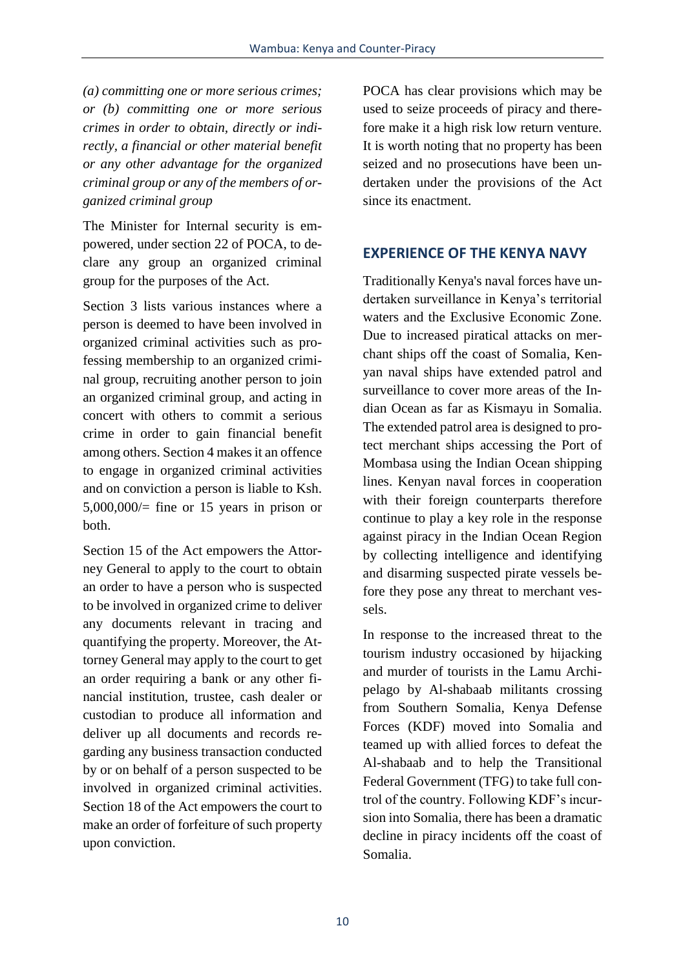*(a) committing one or more serious crimes; or (b) committing one or more serious crimes in order to obtain, directly or indirectly, a financial or other material benefit or any other advantage for the organized criminal group or any of the members of organized criminal group*

The Minister for Internal security is empowered, under section 22 of POCA, to declare any group an organized criminal group for the purposes of the Act.

Section 3 lists various instances where a person is deemed to have been involved in organized criminal activities such as professing membership to an organized criminal group, recruiting another person to join an organized criminal group, and acting in concert with others to commit a serious crime in order to gain financial benefit among others. Section 4 makes it an offence to engage in organized criminal activities and on conviction a person is liable to Ksh.  $5,000,000/$ = fine or 15 years in prison or both.

Section 15 of the Act empowers the Attorney General to apply to the court to obtain an order to have a person who is suspected to be involved in organized crime to deliver any documents relevant in tracing and quantifying the property. Moreover, the Attorney General may apply to the court to get an order requiring a bank or any other financial institution, trustee, cash dealer or custodian to produce all information and deliver up all documents and records regarding any business transaction conducted by or on behalf of a person suspected to be involved in organized criminal activities. Section 18 of the Act empowers the court to make an order of forfeiture of such property upon conviction.

POCA has clear provisions which may be used to seize proceeds of piracy and therefore make it a high risk low return venture. It is worth noting that no property has been seized and no prosecutions have been undertaken under the provisions of the Act since its enactment.

### **EXPERIENCE OF THE KENYA NAVY**

Traditionally Kenya's naval forces have undertaken surveillance in Kenya's territorial waters and the Exclusive Economic Zone. Due to increased piratical attacks on merchant ships off the coast of Somalia, Kenyan naval ships have extended patrol and surveillance to cover more areas of the Indian Ocean as far as Kismayu in Somalia. The extended patrol area is designed to protect merchant ships accessing the Port of Mombasa using the Indian Ocean shipping lines. Kenyan naval forces in cooperation with their foreign counterparts therefore continue to play a key role in the response against piracy in the Indian Ocean Region by collecting intelligence and identifying and disarming suspected pirate vessels before they pose any threat to merchant vessels.

In response to the increased threat to the tourism industry occasioned by hijacking and murder of tourists in the Lamu Archipelago by Al-shabaab militants crossing from Southern Somalia, Kenya Defense Forces (KDF) moved into Somalia and teamed up with allied forces to defeat the Al-shabaab and to help the Transitional Federal Government (TFG) to take full control of the country. Following KDF's incursion into Somalia, there has been a dramatic decline in piracy incidents off the coast of Somalia.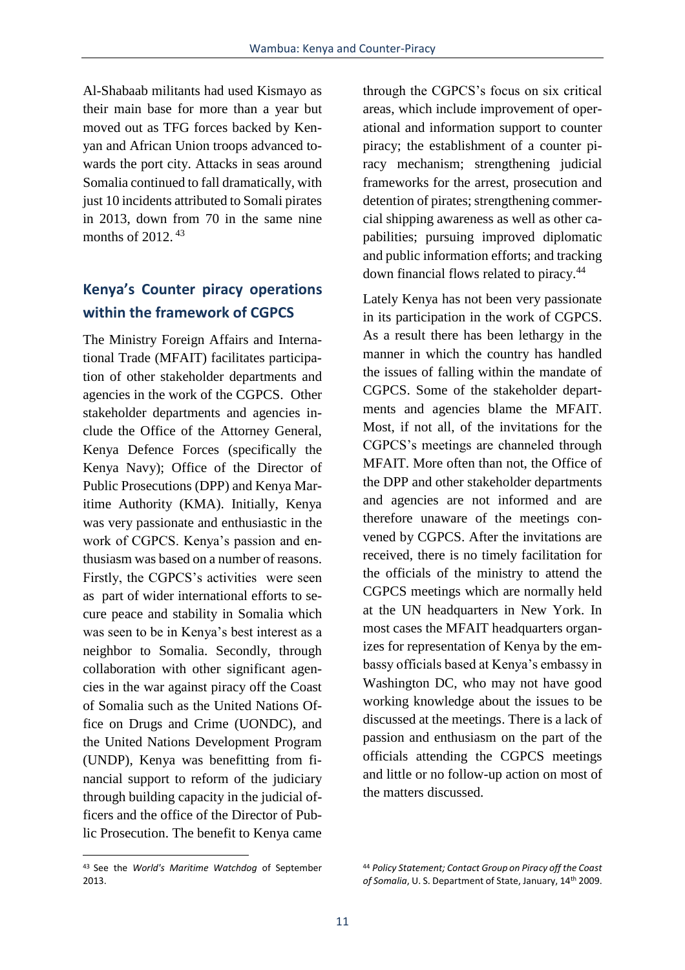Al-Shabaab militants had used Kismayo as their main base for more than a year but moved out as TFG forces backed by Kenyan and African Union troops advanced towards the port city. Attacks in seas around Somalia continued to fall dramatically, with just 10 incidents attributed to Somali pirates in 2013, down from 70 in the same nine months of 2012.<sup>43</sup>

### **Kenya's Counter piracy operations within the framework of CGPCS**

The Ministry Foreign Affairs and International Trade (MFAIT) facilitates participation of other stakeholder departments and agencies in the work of the CGPCS. Other stakeholder departments and agencies include the Office of the Attorney General, Kenya Defence Forces (specifically the Kenya Navy); Office of the Director of Public Prosecutions (DPP) and Kenya Maritime Authority (KMA). Initially, Kenya was very passionate and enthusiastic in the work of CGPCS. Kenya's passion and enthusiasm was based on a number of reasons. Firstly, the CGPCS's activities were seen as part of wider international efforts to secure peace and stability in Somalia which was seen to be in Kenya's best interest as a neighbor to Somalia. Secondly, through collaboration with other significant agencies in the war against piracy off the Coast of Somalia such as the United Nations Office on Drugs and Crime (UONDC), and the United Nations Development Program (UNDP), Kenya was benefitting from financial support to reform of the judiciary through building capacity in the judicial officers and the office of the Director of Public Prosecution. The benefit to Kenya came through the CGPCS's focus on six critical areas, which include improvement of operational and information support to counter piracy; the establishment of a counter piracy mechanism; strengthening judicial frameworks for the arrest, prosecution and detention of pirates; strengthening commercial shipping awareness as well as other capabilities; pursuing improved diplomatic and public information efforts; and tracking down financial flows related to piracy.<sup>44</sup>

Lately Kenya has not been very passionate in its participation in the work of CGPCS. As a result there has been lethargy in the manner in which the country has handled the issues of falling within the mandate of CGPCS. Some of the stakeholder departments and agencies blame the MFAIT. Most, if not all, of the invitations for the CGPCS's meetings are channeled through MFAIT. More often than not, the Office of the DPP and other stakeholder departments and agencies are not informed and are therefore unaware of the meetings convened by CGPCS. After the invitations are received, there is no timely facilitation for the officials of the ministry to attend the CGPCS meetings which are normally held at the UN headquarters in New York. In most cases the MFAIT headquarters organizes for representation of Kenya by the embassy officials based at Kenya's embassy in Washington DC, who may not have good working knowledge about the issues to be discussed at the meetings. There is a lack of passion and enthusiasm on the part of the officials attending the CGPCS meetings and little or no follow-up action on most of the matters discussed.

<sup>43</sup> See the *World's Maritime Watchdog* of September 2013.

<sup>44</sup> *Policy Statement; Contact Group on Piracy off the Coast of Somalia*, U. S. Department of State, January, 14th 2009.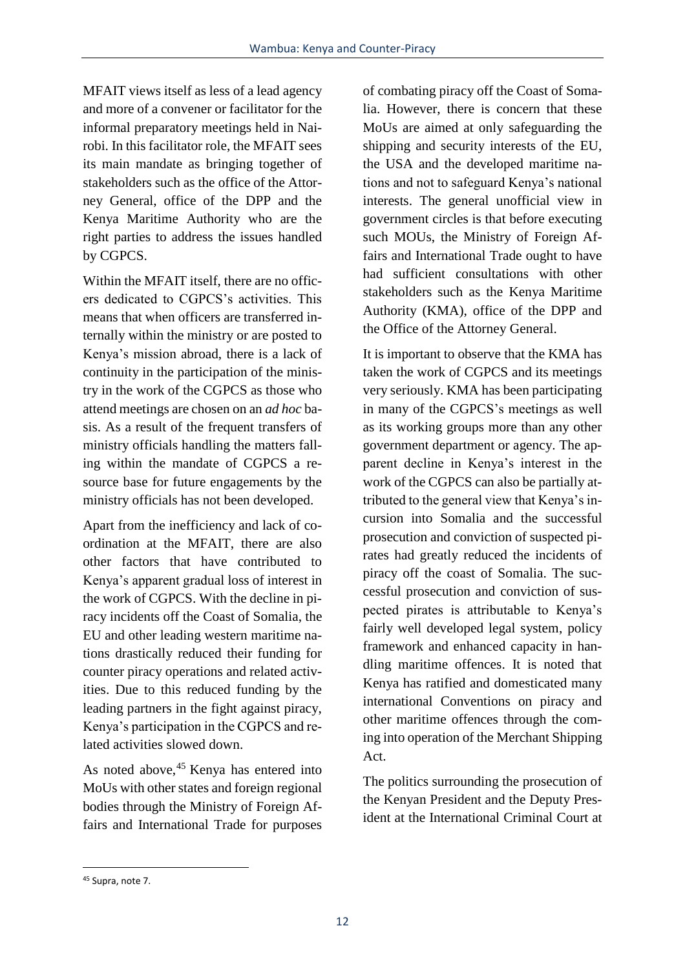MFAIT views itself as less of a lead agency and more of a convener or facilitator for the informal preparatory meetings held in Nairobi. In this facilitator role, the MFAIT sees its main mandate as bringing together of stakeholders such as the office of the Attorney General, office of the DPP and the Kenya Maritime Authority who are the right parties to address the issues handled by CGPCS.

Within the MFAIT itself, there are no officers dedicated to CGPCS's activities. This means that when officers are transferred internally within the ministry or are posted to Kenya's mission abroad, there is a lack of continuity in the participation of the ministry in the work of the CGPCS as those who attend meetings are chosen on an *ad hoc* basis. As a result of the frequent transfers of ministry officials handling the matters falling within the mandate of CGPCS a resource base for future engagements by the ministry officials has not been developed.

Apart from the inefficiency and lack of coordination at the MFAIT, there are also other factors that have contributed to Kenya's apparent gradual loss of interest in the work of CGPCS. With the decline in piracy incidents off the Coast of Somalia, the EU and other leading western maritime nations drastically reduced their funding for counter piracy operations and related activities. Due to this reduced funding by the leading partners in the fight against piracy, Kenya's participation in the CGPCS and related activities slowed down.

As noted above, <sup>45</sup> Kenya has entered into MoUs with other states and foreign regional bodies through the Ministry of Foreign Affairs and International Trade for purposes of combating piracy off the Coast of Somalia. However, there is concern that these MoUs are aimed at only safeguarding the shipping and security interests of the EU, the USA and the developed maritime nations and not to safeguard Kenya's national interests. The general unofficial view in government circles is that before executing such MOUs, the Ministry of Foreign Affairs and International Trade ought to have had sufficient consultations with other stakeholders such as the Kenya Maritime Authority (KMA), office of the DPP and the Office of the Attorney General.

It is important to observe that the KMA has taken the work of CGPCS and its meetings very seriously. KMA has been participating in many of the CGPCS's meetings as well as its working groups more than any other government department or agency. The apparent decline in Kenya's interest in the work of the CGPCS can also be partially attributed to the general view that Kenya's incursion into Somalia and the successful prosecution and conviction of suspected pirates had greatly reduced the incidents of piracy off the coast of Somalia. The successful prosecution and conviction of suspected pirates is attributable to Kenya's fairly well developed legal system, policy framework and enhanced capacity in handling maritime offences. It is noted that Kenya has ratified and domesticated many international Conventions on piracy and other maritime offences through the coming into operation of the Merchant Shipping Act.

The politics surrounding the prosecution of the Kenyan President and the Deputy President at the International Criminal Court at

<sup>45</sup> Supra, note 7.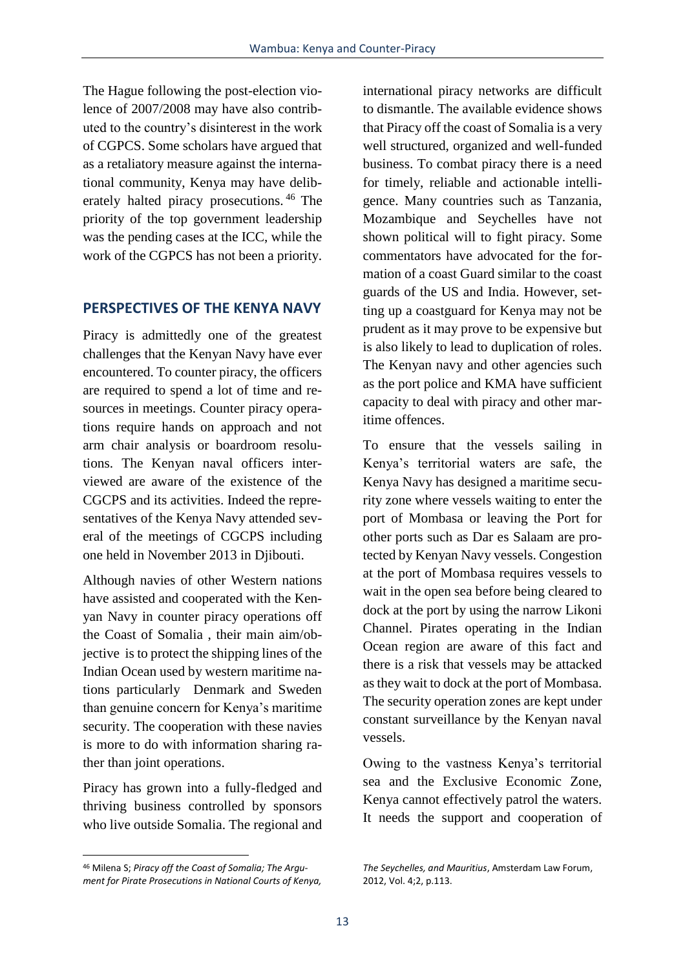The Hague following the post-election violence of 2007/2008 may have also contributed to the country's disinterest in the work of CGPCS. Some scholars have argued that as a retaliatory measure against the international community, Kenya may have deliberately halted piracy prosecutions. <sup>46</sup> The priority of the top government leadership was the pending cases at the ICC, while the work of the CGPCS has not been a priority.

#### **PERSPECTIVES OF THE KENYA NAVY**

Piracy is admittedly one of the greatest challenges that the Kenyan Navy have ever encountered. To counter piracy, the officers are required to spend a lot of time and resources in meetings. Counter piracy operations require hands on approach and not arm chair analysis or boardroom resolutions. The Kenyan naval officers interviewed are aware of the existence of the CGCPS and its activities. Indeed the representatives of the Kenya Navy attended several of the meetings of CGCPS including one held in November 2013 in Djibouti.

Although navies of other Western nations have assisted and cooperated with the Kenyan Navy in counter piracy operations off the Coast of Somalia , their main aim/objective is to protect the shipping lines of the Indian Ocean used by western maritime nations particularly Denmark and Sweden than genuine concern for Kenya's maritime security. The cooperation with these navies is more to do with information sharing rather than joint operations.

Piracy has grown into a fully-fledged and thriving business controlled by sponsors who live outside Somalia. The regional and

 $\overline{a}$ 

international piracy networks are difficult to dismantle. The available evidence shows that Piracy off the coast of Somalia is a very well structured, organized and well-funded business. To combat piracy there is a need for timely, reliable and actionable intelligence. Many countries such as Tanzania, Mozambique and Seychelles have not shown political will to fight piracy. Some commentators have advocated for the formation of a coast Guard similar to the coast guards of the US and India. However, setting up a coastguard for Kenya may not be prudent as it may prove to be expensive but is also likely to lead to duplication of roles. The Kenyan navy and other agencies such as the port police and KMA have sufficient capacity to deal with piracy and other maritime offences.

To ensure that the vessels sailing in Kenya's territorial waters are safe, the Kenya Navy has designed a maritime security zone where vessels waiting to enter the port of Mombasa or leaving the Port for other ports such as Dar es Salaam are protected by Kenyan Navy vessels. Congestion at the port of Mombasa requires vessels to wait in the open sea before being cleared to dock at the port by using the narrow Likoni Channel. Pirates operating in the Indian Ocean region are aware of this fact and there is a risk that vessels may be attacked as they wait to dock at the port of Mombasa. The security operation zones are kept under constant surveillance by the Kenyan naval vessels.

Owing to the vastness Kenya's territorial sea and the Exclusive Economic Zone, Kenya cannot effectively patrol the waters. It needs the support and cooperation of

<sup>46</sup> Milena S; *Piracy off the Coast of Somalia; The Argument for Pirate Prosecutions in National Courts of Kenya,* 

*The Seychelles, and Mauritius*, Amsterdam Law Forum, 2012, Vol. 4;2, p.113.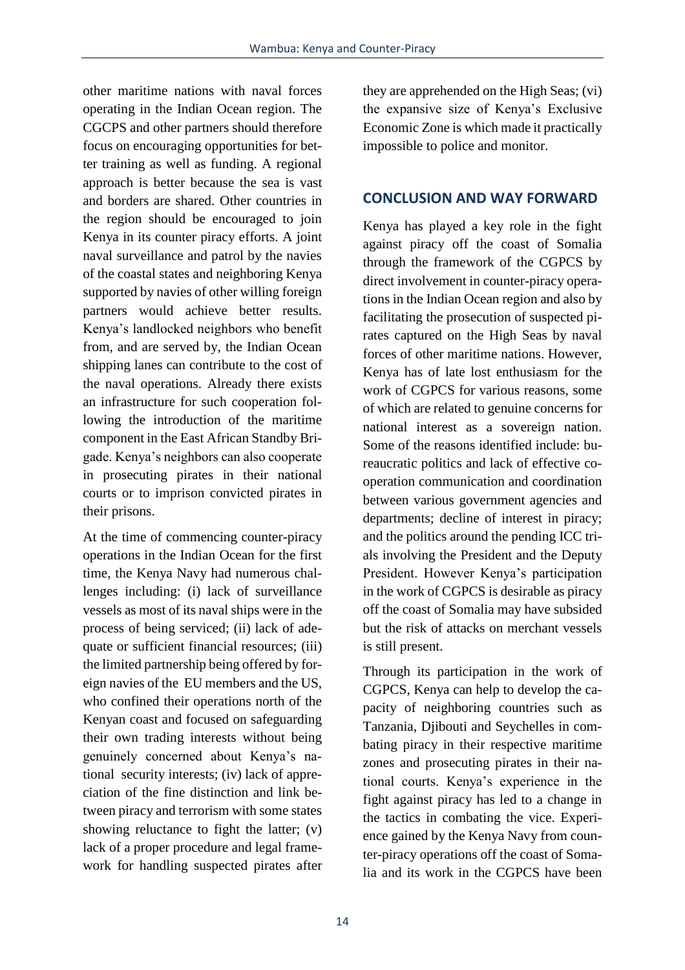other maritime nations with naval forces operating in the Indian Ocean region. The CGCPS and other partners should therefore focus on encouraging opportunities for better training as well as funding. A regional approach is better because the sea is vast and borders are shared. Other countries in the region should be encouraged to join Kenya in its counter piracy efforts. A joint naval surveillance and patrol by the navies of the coastal states and neighboring Kenya supported by navies of other willing foreign partners would achieve better results. Kenya's landlocked neighbors who benefit from, and are served by, the Indian Ocean shipping lanes can contribute to the cost of the naval operations. Already there exists an infrastructure for such cooperation following the introduction of the maritime component in the East African Standby Brigade. Kenya's neighbors can also cooperate in prosecuting pirates in their national courts or to imprison convicted pirates in their prisons.

At the time of commencing counter-piracy operations in the Indian Ocean for the first time, the Kenya Navy had numerous challenges including: (i) lack of surveillance vessels as most of its naval ships were in the process of being serviced; (ii) lack of adequate or sufficient financial resources; (iii) the limited partnership being offered by foreign navies of the EU members and the US, who confined their operations north of the Kenyan coast and focused on safeguarding their own trading interests without being genuinely concerned about Kenya's national security interests; (iv) lack of appreciation of the fine distinction and link between piracy and terrorism with some states showing reluctance to fight the latter; (v) lack of a proper procedure and legal framework for handling suspected pirates after they are apprehended on the High Seas; (vi) the expansive size of Kenya's Exclusive Economic Zone is which made it practically impossible to police and monitor.

#### **CONCLUSION AND WAY FORWARD**

Kenya has played a key role in the fight against piracy off the coast of Somalia through the framework of the CGPCS by direct involvement in counter-piracy operations in the Indian Ocean region and also by facilitating the prosecution of suspected pirates captured on the High Seas by naval forces of other maritime nations. However, Kenya has of late lost enthusiasm for the work of CGPCS for various reasons, some of which are related to genuine concerns for national interest as a sovereign nation. Some of the reasons identified include: bureaucratic politics and lack of effective cooperation communication and coordination between various government agencies and departments; decline of interest in piracy; and the politics around the pending ICC trials involving the President and the Deputy President. However Kenya's participation in the work of CGPCS is desirable as piracy off the coast of Somalia may have subsided but the risk of attacks on merchant vessels is still present.

Through its participation in the work of CGPCS, Kenya can help to develop the capacity of neighboring countries such as Tanzania, Djibouti and Seychelles in combating piracy in their respective maritime zones and prosecuting pirates in their national courts. Kenya's experience in the fight against piracy has led to a change in the tactics in combating the vice. Experience gained by the Kenya Navy from counter-piracy operations off the coast of Somalia and its work in the CGPCS have been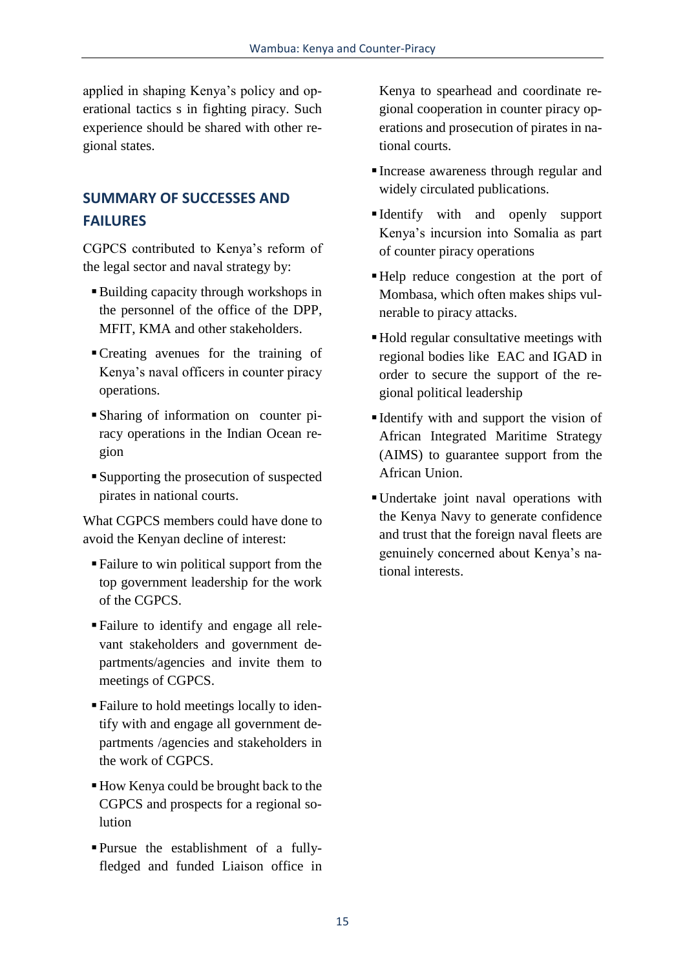applied in shaping Kenya's policy and operational tactics s in fighting piracy. Such experience should be shared with other regional states.

### **SUMMARY OF SUCCESSES AND FAILURES**

CGPCS contributed to Kenya's reform of the legal sector and naval strategy by:

- Building capacity through workshops in the personnel of the office of the DPP, MFIT, KMA and other stakeholders.
- Creating avenues for the training of Kenya's naval officers in counter piracy operations.
- Sharing of information on counter piracy operations in the Indian Ocean region
- Supporting the prosecution of suspected pirates in national courts.

What CGPCS members could have done to avoid the Kenyan decline of interest:

- Failure to win political support from the top government leadership for the work of the CGPCS.
- Failure to identify and engage all relevant stakeholders and government departments/agencies and invite them to meetings of CGPCS.
- Failure to hold meetings locally to identify with and engage all government departments /agencies and stakeholders in the work of CGPCS.
- How Kenya could be brought back to the CGPCS and prospects for a regional solution
- Pursue the establishment of a fullyfledged and funded Liaison office in

Kenya to spearhead and coordinate regional cooperation in counter piracy operations and prosecution of pirates in national courts.

- Increase awareness through regular and widely circulated publications.
- Identify with and openly support Kenya's incursion into Somalia as part of counter piracy operations
- Help reduce congestion at the port of Mombasa, which often makes ships vulnerable to piracy attacks.
- Hold regular consultative meetings with regional bodies like EAC and IGAD in order to secure the support of the regional political leadership
- Identify with and support the vision of African Integrated Maritime Strategy (AIMS) to guarantee support from the African Union.
- Undertake joint naval operations with the Kenya Navy to generate confidence and trust that the foreign naval fleets are genuinely concerned about Kenya's national interests.